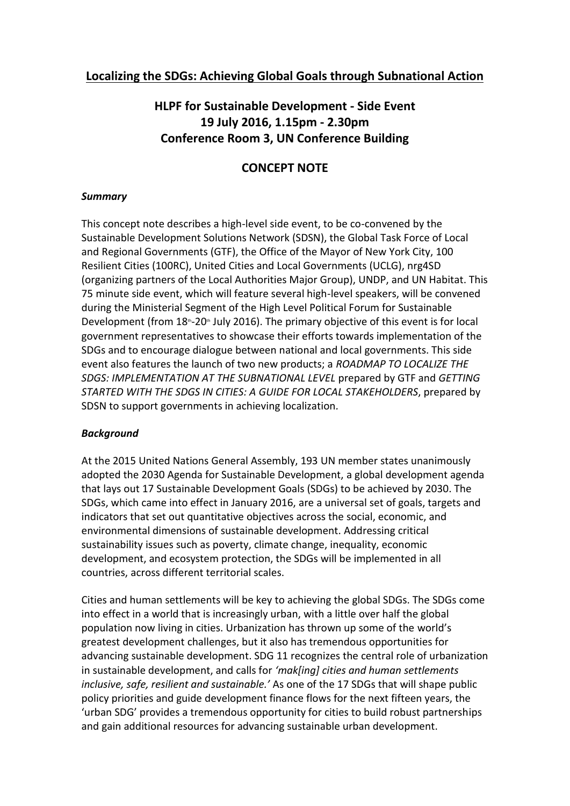## **Localizing the SDGs: Achieving Global Goals through Subnational Action**

# **HLPF for Sustainable Development - Side Event 19 July 2016, 1.15pm - 2.30pm Conference Room 3, UN Conference Building**

## **CONCEPT NOTE**

## *Summary*

This concept note describes a high-level side event, to be co-convened by the Sustainable Development Solutions Network (SDSN), the Global Task Force of Local and Regional Governments (GTF), the Office of the Mayor of New York City, 100 Resilient Cities (100RC), United Cities and Local Governments (UCLG), nrg4SD (organizing partners of the Local Authorities Major Group), UNDP, and UN Habitat. This 75 minute side event, which will feature several high-level speakers, will be convened during the Ministerial Segment of the High Level Political Forum for Sustainable Development (from  $18^{\text{th}}$ -20<sup>th</sup> July 2016). The primary objective of this event is for local government representatives to showcase their efforts towards implementation of the SDGs and to encourage dialogue between national and local governments. This side event also features the launch of two new products; a *ROADMAP TO LOCALIZE THE SDGS: IMPLEMENTATION AT THE SUBNATIONAL LEVEL* prepared by GTF and *GETTING STARTED WITH THE SDGS IN CITIES: A GUIDE FOR LOCAL STAKEHOLDERS*, prepared by SDSN to support governments in achieving localization*.*

#### *Background*

At the 2015 United Nations General Assembly, 193 UN member states unanimously adopted the 2030 Agenda for Sustainable Development, a global development agenda that lays out 17 Sustainable Development Goals (SDGs) to be achieved by 2030. The SDGs, which came into effect in January 2016, are a universal set of goals, targets and indicators that set out quantitative objectives across the social, economic, and environmental dimensions of sustainable development. Addressing critical sustainability issues such as poverty, climate change, inequality, economic development, and ecosystem protection, the SDGs will be implemented in all countries, across different territorial scales.

Cities and human settlements will be key to achieving the global SDGs. The SDGs come into effect in a world that is increasingly urban, with a little over half the global population now living in cities. Urbanization has thrown up some of the world's greatest development challenges, but it also has tremendous opportunities for advancing sustainable development. SDG 11 recognizes the central role of urbanization in sustainable development, and calls for *'mak[ing] cities and human settlements inclusive, safe, resilient and sustainable.'* As one of the 17 SDGs that will shape public policy priorities and guide development finance flows for the next fifteen years, the 'urban SDG' provides a tremendous opportunity for cities to build robust partnerships and gain additional resources for advancing sustainable urban development.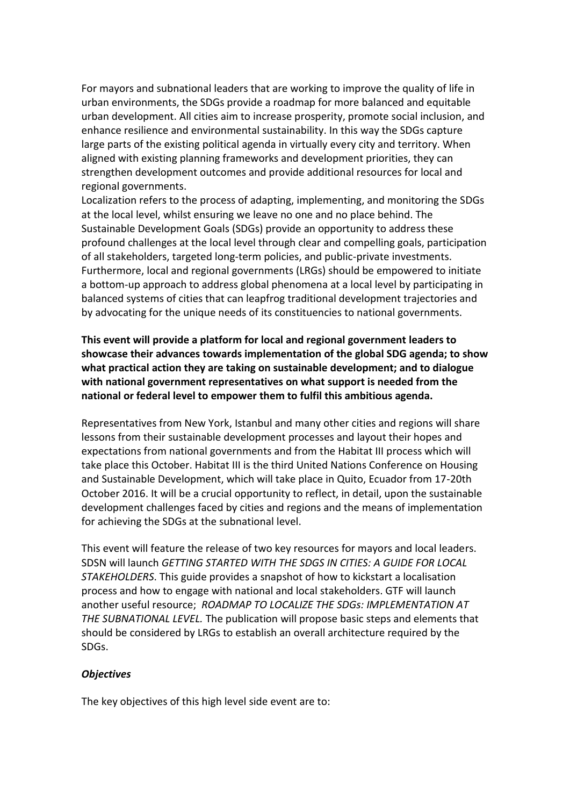For mayors and subnational leaders that are working to improve the quality of life in urban environments, the SDGs provide a roadmap for more balanced and equitable urban development. All cities aim to increase prosperity, promote social inclusion, and enhance resilience and environmental sustainability. In this way the SDGs capture large parts of the existing political agenda in virtually every city and territory. When aligned with existing planning frameworks and development priorities, they can strengthen development outcomes and provide additional resources for local and regional governments.

Localization refers to the process of adapting, implementing, and monitoring the SDGs at the local level, whilst ensuring we leave no one and no place behind. The Sustainable Development Goals (SDGs) provide an opportunity to address these profound challenges at the local level through clear and compelling goals, participation of all stakeholders, targeted long-term policies, and public-private investments. Furthermore, local and regional governments (LRGs) should be empowered to initiate a bottom-up approach to address global phenomena at a local level by participating in balanced systems of cities that can leapfrog traditional development trajectories and by advocating for the unique needs of its constituencies to national governments.

**This event will provide a platform for local and regional government leaders to showcase their advances towards implementation of the global SDG agenda; to show what practical action they are taking on sustainable development; and to dialogue with national government representatives on what support is needed from the national or federal level to empower them to fulfil this ambitious agenda.** 

Representatives from New York, Istanbul and many other cities and regions will share lessons from their sustainable development processes and layout their hopes and expectations from national governments and from the Habitat III process which will take place this October. Habitat III is the third United Nations Conference on Housing and Sustainable Development, which will take place in Quito, Ecuador from 17-20th October 2016. It will be a crucial opportunity to reflect, in detail, upon the sustainable development challenges faced by cities and regions and the means of implementation for achieving the SDGs at the subnational level.

This event will feature the release of two key resources for mayors and local leaders. SDSN will launch *GETTING STARTED WITH THE SDGS IN CITIES: A GUIDE FOR LOCAL STAKEHOLDERS*. This guide provides a snapshot of how to kickstart a localisation process and how to engage with national and local stakeholders. GTF will launch another useful resource; *ROADMAP TO LOCALIZE THE SDGs: IMPLEMENTATION AT THE SUBNATIONAL LEVEL.* The publication will propose basic steps and elements that should be considered by LRGs to establish an overall architecture required by the SDGs.

#### *Objectives*

The key objectives of this high level side event are to: